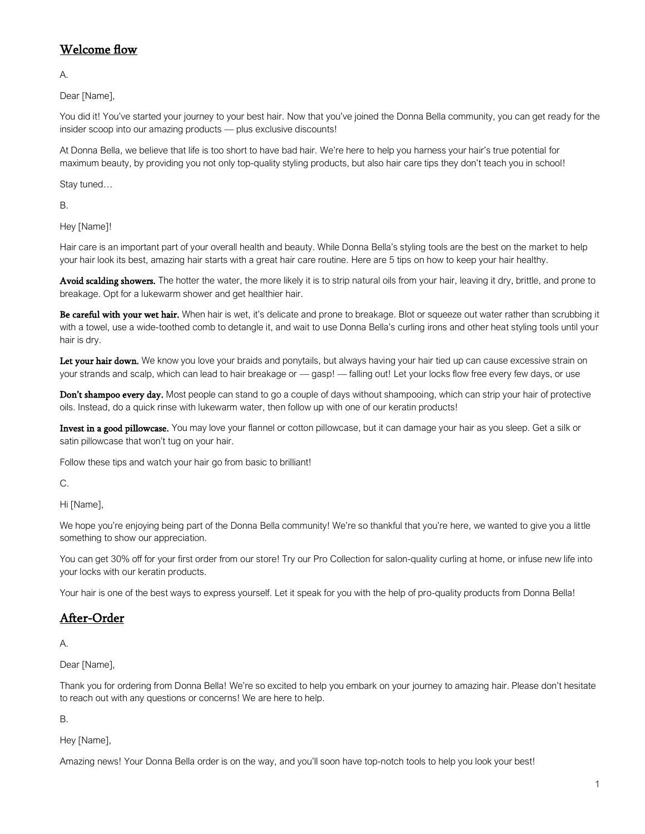## Welcome flow

A.

Dear [Name],

You did it! You've started your journey to your best hair. Now that you've joined the Donna Bella community, you can get ready for the insider scoop into our amazing products — plus exclusive discounts!

At Donna Bella, we believe that life is too short to have bad hair. We're here to help you harness your hair's true potential for maximum beauty, by providing you not only top-quality styling products, but also hair care tips they don't teach you in school!

Stay tuned…

B.

Hey [Name]!

Hair care is an important part of your overall health and beauty. While Donna Bella's styling tools are the best on the market to help your hair look its best, amazing hair starts with a great hair care routine. Here are 5 tips on how to keep your hair healthy.

Avoid scalding showers. The hotter the water, the more likely it is to strip natural oils from your hair, leaving it dry, brittle, and prone to breakage. Opt for a lukewarm shower and get healthier hair.

Be careful with your wet hair. When hair is wet, it's delicate and prone to breakage. Blot or squeeze out water rather than scrubbing it with a towel, use a wide-toothed comb to detangle it, and wait to use Donna Bella's curling irons and other heat styling tools until your hair is dry.

Let your hair down. We know you love your braids and ponytails, but always having your hair tied up can cause excessive strain on your strands and scalp, which can lead to hair breakage or — gasp! — falling out! Let your locks flow free every few days, or use

Don't shampoo every day. Most people can stand to go a couple of days without shampooing, which can strip your hair of protective oils. Instead, do a quick rinse with lukewarm water, then follow up with one of our keratin products!

Invest in a good pillowcase. You may love your flannel or cotton pillowcase, but it can damage your hair as you sleep. Get a silk or satin pillowcase that won't tug on your hair.

Follow these tips and watch your hair go from basic to brilliant!

C.

Hi [Name],

We hope you're enjoying being part of the Donna Bella community! We're so thankful that you're here, we wanted to give you a little something to show our appreciation.

You can get 30% off for your first order from our store! Try our Pro Collection for salon-quality curling at home, or infuse new life into your locks with our keratin products.

Your hair is one of the best ways to express yourself. Let it speak for you with the help of pro-quality products from Donna Bella!

## After-Order

A.

Dear [Name],

Thank you for ordering from Donna Bella! We're so excited to help you embark on your journey to amazing hair. Please don't hesitate to reach out with any questions or concerns! We are here to help.

B.

Hey [Name],

Amazing news! Your Donna Bella order is on the way, and you'll soon have top-notch tools to help you look your best!